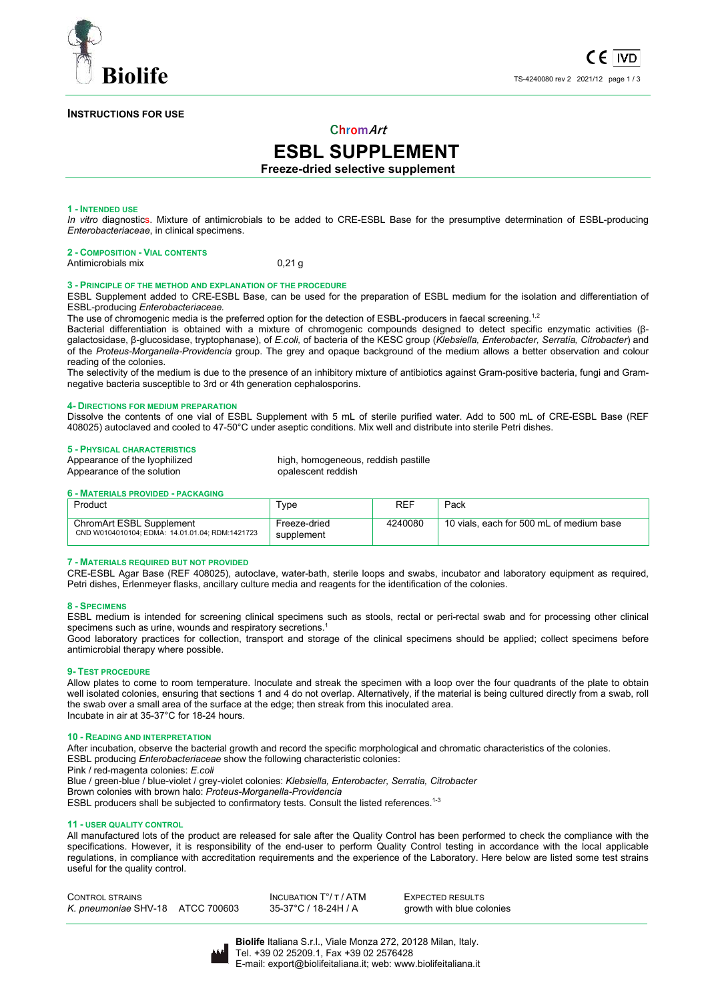

# **INSTRUCTIONS FOR USE**

# **ChromArt**

# **ESBL SUPPLEMENT**

**Freeze-dried selective supplement** 

#### **1 - INTENDED USE**

*In vitro* diagnostics. Mixture of antimicrobials to be added to CRE-ESBL Base for the presumptive determination of ESBL-producing *Enterobacteriaceae*, in clinical specimens.

| <b>2 - COMPOSITION - VIAL CONTENTS</b> |          |
|----------------------------------------|----------|
| Antimicrobials mix                     | $0.21$ q |

#### **3 - PRINCIPLE OF THE METHOD AND EXPLANATION OF THE PROCEDURE**

ESBL Supplement added to CRE-ESBL Base, can be used for the preparation of ESBL medium for the isolation and differentiation of ESBL-producing *Enterobacteriaceae.* 

The use of chromogenic media is the preferred option for the detection of ESBL-producers in faecal screening.<sup>1,2</sup>

Bacterial differentiation is obtained with a mixture of chromogenic compounds designed to detect specific enzymatic activities (βgalactosidase, β-glucosidase, tryptophanase), of *E.coli,* of bacteria of the KESC group (*Klebsiella, Enterobacter, Serratia, Citrobacter*) and of the *Proteus-Morganella-Providencia* group. The grey and opaque background of the medium allows a better observation and colour reading of the colonies.

The selectivity of the medium is due to the presence of an inhibitory mixture of antibiotics against Gram-positive bacteria, fungi and Gramnegative bacteria susceptible to 3rd or 4th generation cephalosporins.

#### **4- DIRECTIONS FOR MEDIUM PREPARATION**

Dissolve the contents of one vial of ESBL Supplement with 5 mL of sterile purified water. Add to 500 mL of CRE-ESBL Base (REF 408025) autoclaved and cooled to 47-50°C under aseptic conditions. Mix well and distribute into sterile Petri dishes.

**5 - PHYSICAL CHARACTERISTICS** high, homogeneous, reddish pastille Appearance of the solution **be a set of the solution** opalescent reddish

#### **6 - MATERIALS PROVIDED - PACKAGING**

| Product                                                                     | ⊤уре                       | REF     | Pack                                     |
|-----------------------------------------------------------------------------|----------------------------|---------|------------------------------------------|
| ChromArt ESBL Supplement<br>CND W0104010104; EDMA: 14.01.01.04; RDM:1421723 | Freeze-dried<br>supplement | 4240080 | 10 vials, each for 500 mL of medium base |

#### **7 - MATERIALS REQUIRED BUT NOT PROVIDED**

CRE-ESBL Agar Base (REF 408025), autoclave, water-bath, sterile loops and swabs, incubator and laboratory equipment as required, Petri dishes, Erlenmeyer flasks, ancillary culture media and reagents for the identification of the colonies.

#### **8 - SPECIMENS**

ESBL medium is intended for screening clinical specimens such as stools, rectal or peri-rectal swab and for processing other clinical specimens such as urine, wounds and respiratory secretions.<sup>1</sup>

Good laboratory practices for collection, transport and storage of the clinical specimens should be applied; collect specimens before antimicrobial therapy where possible.

#### **9- TEST PROCEDURE**

Allow plates to come to room temperature. Inoculate and streak the specimen with a loop over the four quadrants of the plate to obtain well isolated colonies, ensuring that sections 1 and 4 do not overlap. Alternatively, if the material is being cultured directly from a swab, roll the swab over a small area of the surface at the edge; then streak from this inoculated area. Incubate in air at 35-37°C for 18-24 hours.

#### **10 - READING AND INTERPRETATION**

After incubation, observe the bacterial growth and record the specific morphological and chromatic characteristics of the colonies. ESBL producing *Enterobacteriaceae* show the following characteristic colonies:

Pink / red-magenta colonies: *E.coli*

Blue / green-blue / blue-violet / grey-violet colonies: *Klebsiella, Enterobacter, Serratia, Citrobacter*

Brown colonies with brown halo: *Proteus-Morganella-Providencia*

ESBL producers shall be subjected to confirmatory tests. Consult the listed references.<sup>1-3</sup>

#### **11 - USER QUALITY CONTROL**

All manufactured lots of the product are released for sale after the Quality Control has been performed to check the compliance with the specifications. However, it is responsibility of the end-user to perform Quality Control testing in accordance with the local applicable regulations, in compliance with accreditation requirements and the experience of the Laboratory. Here below are listed some test strains useful for the quality control.

CONTROL STRAINS<br>
K. preumoniae SHV-18 ATCC 700603 35-37°C / 18-24H / A arowth with blue co *K. pneumoniae* SHV-18 ATCC 700603 35-37°C / 18-24H / A growth with blue colonies

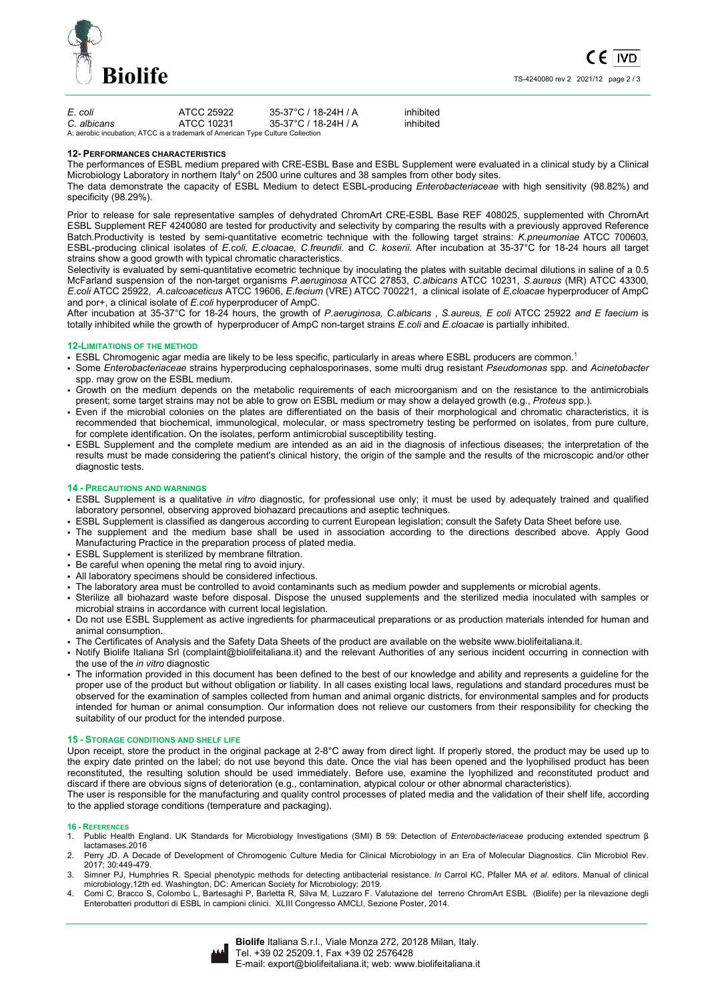

| E. coli     | ATCC 25922                                                                     | 35-37°C / 18-24H / A | inhibited |
|-------------|--------------------------------------------------------------------------------|----------------------|-----------|
| C. albicans | ATCC 10231                                                                     | 35-37°C / 18-24H / A | inhibited |
|             | A: aerobic incubation; ATCC is a trademark of American Type Culture Collection |                      |           |

#### **12- PERFORMANCES CHARACTERISTICS**

The performances of ESBL medium prepared with CRE-ESBL Base and ESBL Supplement were evaluated in a clinical study by a Clinical Microbiology Laboratory in northern Italy<sup>4</sup> on 2500 urine cultures and 38 samples from other body sites.

The data demonstrate the capacity of ESBL Medium to detect ESBL-producing *Enterobacteriaceae* with high sensitivity (98.82%) and specificity (98.29%).

Prior to release for sale representative samples of dehydrated ChromArt CRE-ESBL Base REF 408025, supplemented with ChromArt ESBL Supplement REF 4240080 are tested for productivity and selectivity by comparing the results with a previously approved Reference Batch.Productivity is tested by semi-quantitative ecometric technique with the following target strains: *K.pneumoniae* ATCC 700603*,*  ESBL-producing clinical isolates of *E.coli, E.cloacae, C.freundii*. and *C. koserii*. After incubation at 35-37°C for 18-24 hours all target strains show a good growth with typical chromatic characteristics.

Selectivity is evaluated by semi-quantitative ecometric technique by inoculating the plates with suitable decimal dilutions in saline of a 0.5 McFarland suspension of the non-target organisms *P.aeruginosa* ATCC 27853, *C.albicans* ATCC 10231, *S.aureus* (MR) ATCC 43300, *E.coli* ATCC 25922, *A.calcoaceticus* ATCC 19606, *E.fecium* (VRE) ATCC 700221, a clinical isolate of *E.cloacae* hyperproducer of AmpC and por+, a clinical isolate of *E.coli* hyperproducer of AmpC.

After incubation at 35-37°C for 18-24 hours, the growth of *P.aeruginosa, C.albicans* , *S.aureus, E coli* ATCC 25922 *and E faecium* is totally inhibited while the growth of hyperproducer of AmpC non-target strains *E.coli* and *E.cloacae* is partially inhibited.

#### **12-LIMITATIONS OF THE METHOD**

- ESBL Chromogenic agar media are likely to be less specific, particularly in areas where ESBL producers are common.<sup>1</sup>
- Some *Enterobacteriaceae* strains hyperproducing cephalosporinases, some multi drug resistant *Pseudomonas* spp. and *Acinetobacter* spp. may grow on the ESBL medium.
- Growth on the medium depends on the metabolic requirements of each microorganism and on the resistance to the antimicrobials present; some target strains may not be able to grow on ESBL medium or may show a delayed growth (e.g., *Proteus* spp.).
- Even if the microbial colonies on the plates are differentiated on the basis of their morphological and chromatic characteristics, it is recommended that biochemical, immunological, molecular, or mass spectrometry testing be performed on isolates, from pure culture, for complete identification. On the isolates, perform antimicrobial susceptibility testing.
- ESBL Supplement and the complete medium are intended as an aid in the diagnosis of infectious diseases; the interpretation of the results must be made considering the patient's clinical history, the origin of the sample and the results of the microscopic and/or other diagnostic tests.

#### **14 - PRECAUTIONS AND WARNINGS**

- ESBL Supplement is a qualitative *in vitro* diagnostic, for professional use only; it must be used by adequately trained and qualified laboratory personnel, observing approved biohazard precautions and aseptic techniques.
- ESBL Supplement is classified as dangerous according to current European legislation; consult the Safety Data Sheet before use.
- The supplement and the medium base shall be used in association according to the directions described above. Apply Good Manufacturing Practice in the preparation process of plated media.
- ESBL Supplement is sterilized by membrane filtration.
- Be careful when opening the metal ring to avoid injury.
- All laboratory specimens should be considered infectious.
- The laboratory area must be controlled to avoid contaminants such as medium powder and supplements or microbial agents.
- Sterilize all biohazard waste before disposal. Dispose the unused supplements and the sterilized media inoculated with samples or microbial strains in accordance with current local legislation.
- Do not use ESBL Supplement as active ingredients for pharmaceutical preparations or as production materials intended for human and animal consumption.
- The Certificates of Analysis and the Safety Data Sheets of the product are available on the website www.biolifeitaliana.it.
- Notify Biolife Italiana Srl (complaint@biolifeitaliana.it) and the relevant Authorities of any serious incident occurring in connection with the use of the *in vitro* diagnostic
- The information provided in this document has been defined to the best of our knowledge and ability and represents a guideline for the proper use of the product but without obligation or liability. In all cases existing local laws, regulations and standard procedures must be observed for the examination of samples collected from human and animal organic districts, for environmental samples and for products intended for human or animal consumption. Our information does not relieve our customers from their responsibility for checking the suitability of our product for the intended purpose.

#### **15 - STORAGE CONDITIONS AND SHELF LIFE**

Upon receipt, store the product in the original package at 2-8°C away from direct light. If properly stored, the product may be used up to the expiry date printed on the label; do not use beyond this date. Once the vial has been opened and the lyophilised product has been reconstituted, the resulting solution should be used immediately. Before use, examine the lyophilized and reconstituted product and discard if there are obvious signs of deterioration (e.g., contamination, atypical colour or other abnormal characteristics).

The user is responsible for the manufacturing and quality control processes of plated media and the validation of their shelf life, according to the applied storage conditions (temperature and packaging).

#### **16 - REFERENCES**

- 1. Public Health England. UK Standards for Microbiology Investigations (SMI) B 59: Detection of *Enterobacteriaceae* producing extended spectrum β lactamases.2016
- 2. Perry JD. A Decade of Development of Chromogenic Culture Media for Clinical Microbiology in an Era of Molecular Diagnostics. Clin Microbiol Rev. 2017; 30:449-479.
- 3. Simner PJ, Humphries R. Special phenotypic methods for detecting antibacterial resistance. *In* Carrol KC, Pfaller MA *et al*. editors. Manual of clinical microbiology,12th ed. Washington, DC: American Society for Microbiology; 2019.
- 4. Comi C, Bracco S, Colombo L, Bartesaghi P, Barletta R, Silva M, Luzzaro F. Valutazione del terreno ChromArt ESBL (Biolife) per la rilevazione degli Enterobatteri produttori di ESBL in campioni clinici. XLIII Congresso AMCLI, Sezione Poster, 2014.